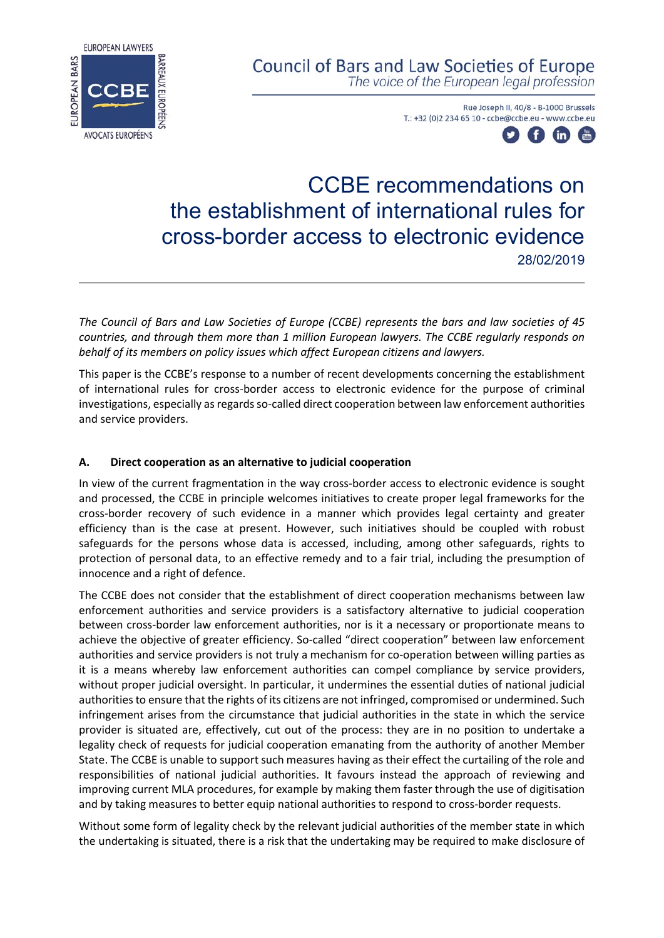

## **Council of Bars and Law Societies of Europe**

The voice of the European legal profession

Rue Joseph II, 40/8 - B-1000 Brussels T.: +32 (0)2 234 65 10 - ccbe@ccbe.eu - www.ccbe.eu



# CCBE recommendations on the establishment of international rules for cross-border access to electronic evidence 28/02/2019

*The Council of Bars and Law Societies of Europe (CCBE) represents the bars and law societies of 45 countries, and through them more than 1 million European lawyers. The CCBE regularly responds on behalf of its members on policy issues which affect European citizens and lawyers.*

This paper is the CCBE's response to a number of recent developments concerning the establishment of international rules for cross-border access to electronic evidence for the purpose of criminal investigations, especially as regards so-called direct cooperation between law enforcement authorities and service providers.

## **A. Direct cooperation as an alternative to judicial cooperation**

In view of the current fragmentation in the way cross-border access to electronic evidence is sought and processed, the CCBE in principle welcomes initiatives to create proper legal frameworks for the cross-border recovery of such evidence in a manner which provides legal certainty and greater efficiency than is the case at present. However, such initiatives should be coupled with robust safeguards for the persons whose data is accessed, including, among other safeguards, rights to protection of personal data, to an effective remedy and to a fair trial, including the presumption of innocence and a right of defence.

The CCBE does not consider that the establishment of direct cooperation mechanisms between law enforcement authorities and service providers is a satisfactory alternative to judicial cooperation between cross-border law enforcement authorities, nor is it a necessary or proportionate means to achieve the objective of greater efficiency. So-called "direct cooperation" between law enforcement authorities and service providers is not truly a mechanism for co-operation between willing parties as it is a means whereby law enforcement authorities can compel compliance by service providers, without proper judicial oversight. In particular, it undermines the essential duties of national judicial authorities to ensure that the rights of its citizens are not infringed, compromised or undermined. Such infringement arises from the circumstance that judicial authorities in the state in which the service provider is situated are, effectively, cut out of the process: they are in no position to undertake a legality check of requests for judicial cooperation emanating from the authority of another Member State. The CCBE is unable to support such measures having as their effect the curtailing of the role and responsibilities of national judicial authorities. It favours instead the approach of reviewing and improving current MLA procedures, for example by making them faster through the use of digitisation and by taking measures to better equip national authorities to respond to cross-border requests.

Without some form of legality check by the relevant judicial authorities of the member state in which the undertaking is situated, there is a risk that the undertaking may be required to make disclosure of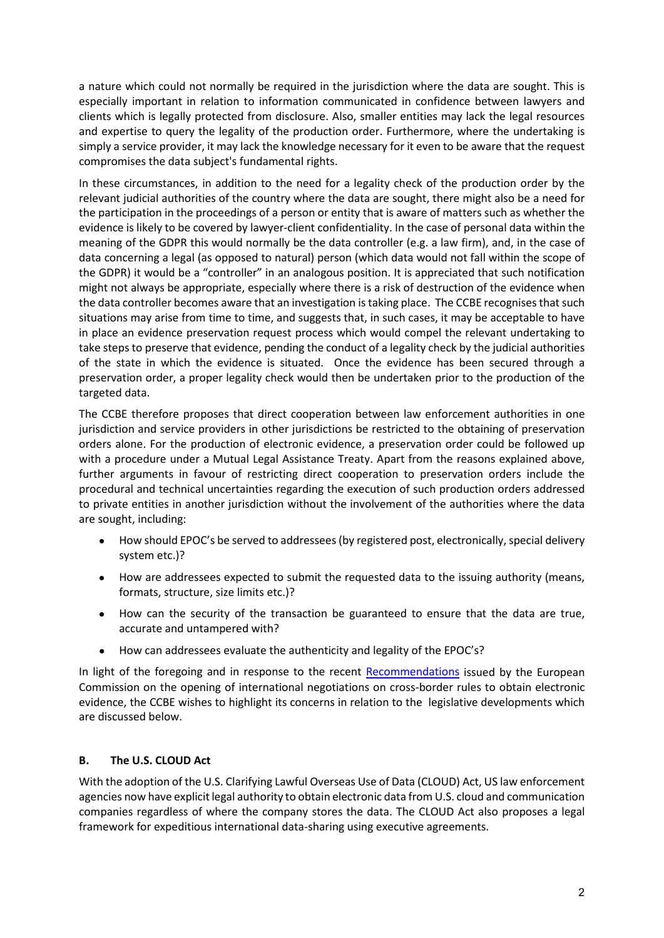a nature which could not normally be required in the jurisdiction where the data are sought. This is especially important in relation to information communicated in confidence between lawyers and clients which is legally protected from disclosure. Also, smaller entities may lack the legal resources and expertise to query the legality of the production order. Furthermore, where the undertaking is simply a service provider, it may lack the knowledge necessary for it even to be aware that the request compromises the data subject's fundamental rights.

In these circumstances, in addition to the need for a legality check of the production order by the relevant judicial authorities of the country where the data are sought, there might also be a need for the participation in the proceedings of a person or entity that is aware of matters such as whether the evidence is likely to be covered by lawyer-client confidentiality. In the case of personal data within the meaning of the GDPR this would normally be the data controller (e.g. a law firm), and, in the case of data concerning a legal (as opposed to natural) person (which data would not fall within the scope of the GDPR) it would be a "controller" in an analogous position. It is appreciated that such notification might not always be appropriate, especially where there is a risk of destruction of the evidence when the data controller becomes aware that an investigation is taking place. The CCBE recognises that such situations may arise from time to time, and suggests that, in such cases, it may be acceptable to have in place an evidence preservation request process which would compel the relevant undertaking to take steps to preserve that evidence, pending the conduct of a legality check by the judicial authorities of the state in which the evidence is situated. Once the evidence has been secured through a preservation order, a proper legality check would then be undertaken prior to the production of the targeted data.

The CCBE therefore proposes that direct cooperation between law enforcement authorities in one jurisdiction and service providers in other jurisdictions be restricted to the obtaining of preservation orders alone. For the production of electronic evidence, a preservation order could be followed up with a procedure under a Mutual Legal Assistance Treaty. Apart from the reasons explained above, further arguments in favour of restricting direct cooperation to preservation orders include the procedural and technical uncertainties regarding the execution of such production orders addressed to private entities in another jurisdiction without the involvement of the authorities where the data are sought, including:

- How should EPOC's be served to addressees (by registered post, electronically, special delivery system etc.)?
- How are addressees expected to submit the requested data to the issuing authority (means, formats, structure, size limits etc.)?
- How can the security of the transaction be guaranteed to ensure that the data are true, accurate and untampered with?
- How can addressees evaluate the authenticity and legality of the EPOC's?

In light of the foregoing and in response to the recent [Recommendations](https://ec.europa.eu/info/policies/justice-and-fundamental-rights/criminal-justice/e-evidence-cross-border-access-electronic-evidence_en) issued by the European Commission on the opening of international negotiations on cross-border rules to obtain electronic evidence, the CCBE wishes to highlight its concerns in relation to the legislative developments which are discussed below.

## **B. The U.S. CLOUD Act**

With the adoption of the U.S. Clarifying Lawful Overseas Use of Data (CLOUD) Act, US law enforcement agencies now have explicit legal authority to obtain electronic data from U.S. cloud and communication companies regardless of where the company stores the data. The CLOUD Act also proposes a legal framework for expeditious international data-sharing using executive agreements.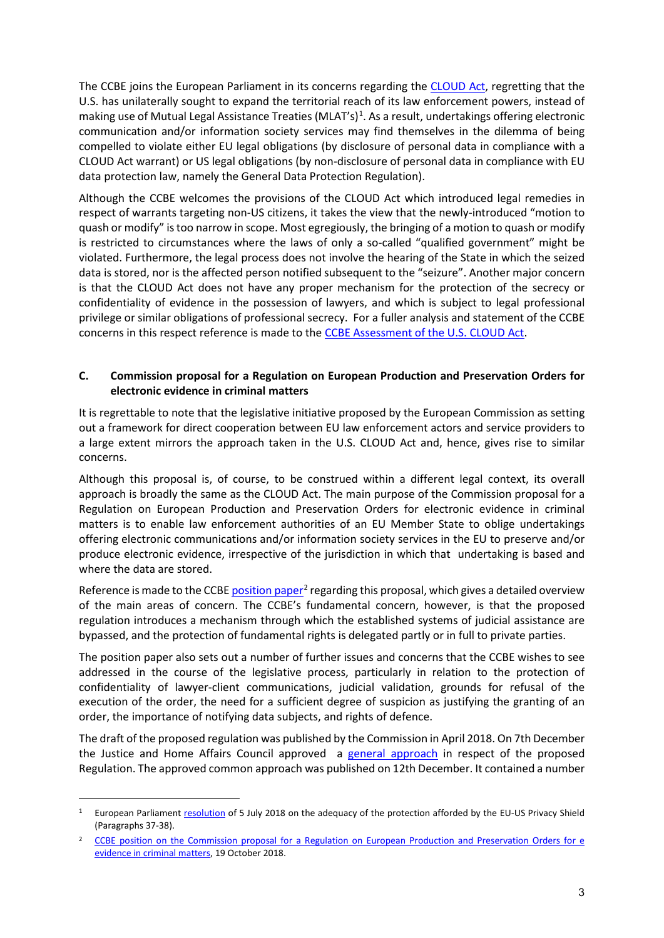The CCBE joins the European Parliament in its concerns regarding the [CLOUD Act,](https://www.congress.gov/115/bills/hr4943/BILLS-115hr4943ih.pdf) regretting that the U.S. has unilaterally sought to expand the territorial reach of its law enforcement powers, instead of making use of Mutual Legal Assistance Treaties (MLAT's)<sup>[1](#page-2-0)</sup>. As a result, undertakings offering electronic communication and/or information society services may find themselves in the dilemma of being compelled to violate either EU legal obligations (by disclosure of personal data in compliance with a CLOUD Act warrant) or US legal obligations (by non-disclosure of personal data in compliance with EU data protection law, namely the General Data Protection Regulation).

Although the CCBE welcomes the provisions of the CLOUD Act which introduced legal remedies in respect of warrants targeting non-US citizens, it takes the view that the newly-introduced "motion to quash or modify" is too narrow in scope. Most egregiously, the bringing of a motion to quash or modify is restricted to circumstances where the laws of only a so-called "qualified government" might be violated. Furthermore, the legal process does not involve the hearing of the State in which the seized data is stored, nor is the affected person notified subsequent to the "seizure". Another major concern is that the CLOUD Act does not have any proper mechanism for the protection of the secrecy or confidentiality of evidence in the possession of lawyers, and which is subject to legal professional privilege or similar obligations of professional secrecy. For a fuller analysis and statement of the CCBE concerns in this respect reference is made to the [CCBE Assessment of the U.S. CLOUD Act.](https://www.ccbe.eu/fileadmin/speciality_distribution/public/documents/SURVEILLANCE/SVL_Position_papers/EN_SVL_20190228_CCBE-Assessment-of-the-U-S-CLOUD-Act.pdf)

#### **C. Commission proposal for a Regulation on European Production and Preservation Orders for electronic evidence in criminal matters**

It is regrettable to note that the legislative initiative proposed by the European Commission as setting out a framework for direct cooperation between EU law enforcement actors and service providers to a large extent mirrors the approach taken in the U.S. CLOUD Act and, hence, gives rise to similar concerns.

Although this proposal is, of course, to be construed within a different legal context, its overall approach is broadly the same as the CLOUD Act. The main purpose of the Commission proposal for a Regulation on European Production and Preservation Orders for electronic evidence in criminal matters is to enable law enforcement authorities of an EU Member State to oblige undertakings offering electronic communications and/or information society services in the EU to preserve and/or produce electronic evidence, irrespective of the jurisdiction in which that undertaking is based and where the data are stored.

Reference is made to the CCB[E position paper](https://www.ccbe.eu/fileadmin/speciality_distribution/public/documents/SURVEILLANCE/SVL_Position_papers/EN_SVL_20181019_CCBE-position-on-Commission-proposal-Regulation-on-European-Production-and-Preservation-Orders-for-e-evidence.pdf)<sup>[2](#page-2-1)</sup> regarding this proposal, which gives a detailed overview of the main areas of concern. The CCBE's fundamental concern, however, is that the proposed regulation introduces a mechanism through which the established systems of judicial assistance are bypassed, and the protection of fundamental rights is delegated partly or in full to private parties.

The position paper also sets out a number of further issues and concerns that the CCBE wishes to see addressed in the course of the legislative process, particularly in relation to the protection of confidentiality of lawyer-client communications, judicial validation, grounds for refusal of the execution of the order, the need for a sufficient degree of suspicion as justifying the granting of an order, the importance of notifying data subjects, and rights of defence.

The draft of the proposed regulation was published by the Commission in April 2018. On 7th December the Justice and Home Affairs Council approved a [general approach](http://data.consilium.europa.eu/doc/document/ST-15292-2018-INIT/en/pdf) in respect of the proposed Regulation. The approved common approach was published on 12th December. It contained a number

-

<span id="page-2-0"></span><sup>1</sup> European Parliament [resolution](http://www.europarl.europa.eu/sides/getDoc.do?pubRef=-//EP//TEXT+TA+P8-TA-2018-0315+0+DOC+XML+V0//EN&language=EN) of 5 July 2018 on the adequacy of the protection afforded by the EU-US Privacy Shield (Paragraphs 37-38).

<span id="page-2-1"></span><sup>2</sup> [CCBE position on the Commission proposal for a Regulation on European Production and Preservation Orders for e](https://www.ccbe.eu/fileadmin/speciality_distribution/public/documents/SURVEILLANCE/SVL_Position_papers/EN_SVL_20181019_CCBE-position-on-Commission-proposal-Regulation-on-European-Production-and-Preservation-Orders-for-e-evidence.pdf)  [evidence in criminal matters,](https://www.ccbe.eu/fileadmin/speciality_distribution/public/documents/SURVEILLANCE/SVL_Position_papers/EN_SVL_20181019_CCBE-position-on-Commission-proposal-Regulation-on-European-Production-and-Preservation-Orders-for-e-evidence.pdf) 19 October 2018.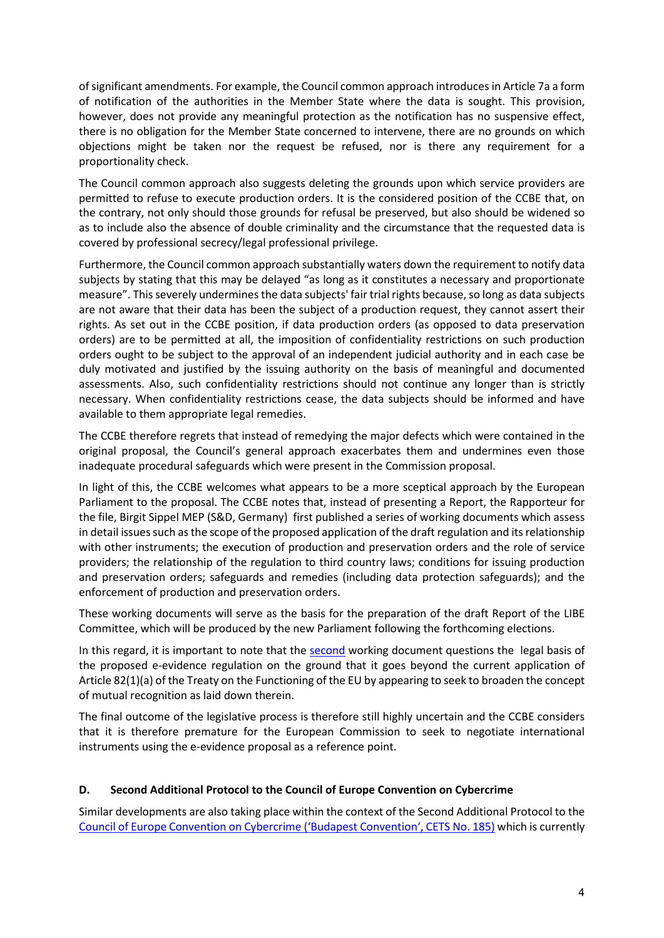of significant amendments. For example, the Council common approach introduces in Article 7a a form of notification of the authorities in the Member State where the data is sought. This provision, however, does not provide any meaningful protection as the notification has no suspensive effect, there is no obligation for the Member State concerned to intervene, there are no grounds on which objections might be taken nor the request be refused, nor is there any requirement for a proportionality check.

The Council common approach also suggests deleting the grounds upon which service providers are permitted to refuse to execute production orders. It is the considered position of the CCBE that, on the contrary, not only should those grounds for refusal be preserved, but also should be widened so as to include also the absence of double criminality and the circumstance that the requested data is covered by professional secrecy/legal professional privilege.

Furthermore, the Council common approach substantially waters down the requirement to notify data subjects by stating that this may be delayed "as long as it constitutes a necessary and proportionate measure". This severely undermines the data subjects' fair trial rights because, so long as data subjects are not aware that their data has been the subject of a production request, they cannot assert their rights. As set out in the CCBE position, if data production orders (as opposed to data preservation orders) are to be permitted at all, the imposition of confidentiality restrictions on such production orders ought to be subject to the approval of an independent judicial authority and in each case be duly motivated and justified by the issuing authority on the basis of meaningful and documented assessments. Also, such confidentiality restrictions should not continue any longer than is strictly necessary. When confidentiality restrictions cease, the data subjects should be informed and have available to them appropriate legal remedies.

The CCBE therefore regrets that instead of remedying the major defects which were contained in the original proposal, the Council's general approach exacerbates them and undermines even those inadequate procedural safeguards which were present in the Commission proposal.

In light of this, the CCBE welcomes what appears to be a more sceptical approach by the European Parliament to the proposal. The CCBE notes that, instead of presenting a Report, the Rapporteur for the file, Birgit Sippel MEP (S&D, Germany) first published a series of working documents which assess in detail issues such as the scope of the proposed application of the draft regulation and its relationship with other instruments; the execution of production and preservation orders and the role of service providers; the relationship of the regulation to third country laws; conditions for issuing production and preservation orders; safeguards and remedies (including data protection safeguards); and the enforcement of production and preservation orders.

These working documents will serve as the basis for the preparation of the draft Report of the LIBE Committee, which will be produced by the new Parliament following the forthcoming elections.

In this regard, it is important to note that th[e second](http://www.europarl.europa.eu/sides/getDoc.do?type=COMPARL&reference=PE-634.729&format=PDF&language=EN&secondRef=01) working document questions the legal basis of the proposed e-evidence regulation on the ground that it goes beyond the current application of Article 82(1)(a) of the Treaty on the Functioning of the EU by appearing to seek to broaden the concept of mutual recognition as laid down therein.

The final outcome of the legislative process is therefore still highly uncertain and the CCBE considers that it is therefore premature for the European Commission to seek to negotiate international instruments using the e-evidence proposal as a reference point.

## **D. Second Additional Protocol to the Council of Europe Convention on Cybercrime**

Similar developments are also taking place within the context of the Second Additional Protocol to the [Council of Europe Convention on Cybercrime \('Budapest Convention', CETS No. 185\)](https://www.coe.int/en/web/conventions/full-list/-/conventions/treaty/185) which is currently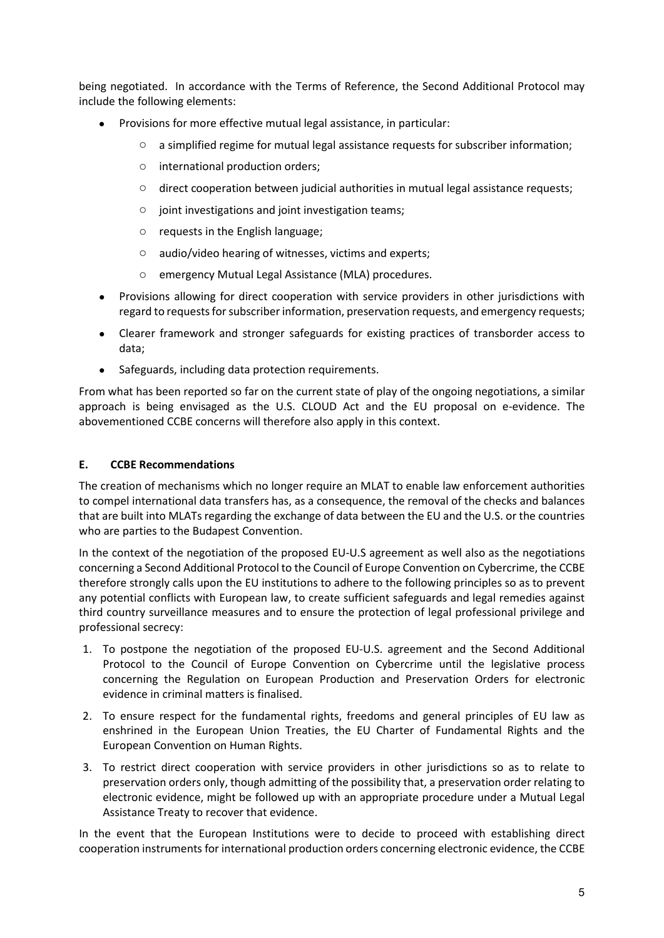being negotiated. In accordance with the Terms of Reference, the Second Additional Protocol may include the following elements:

- Provisions for more effective mutual legal assistance, in particular:
	- $\circ$  a simplified regime for mutual legal assistance requests for subscriber information;
	- o international production orders;
	- o direct cooperation between judicial authorities in mutual legal assistance requests;
	- o joint investigations and joint investigation teams;
	- o requests in the English language;
	- o audio/video hearing of witnesses, victims and experts;
	- o emergency Mutual Legal Assistance (MLA) procedures.
- Provisions allowing for direct cooperation with service providers in other jurisdictions with regard to requests for subscriber information, preservation requests, and emergency requests;
- Clearer framework and stronger safeguards for existing practices of transborder access to data;
- Safeguards, including data protection requirements.

From what has been reported so far on the current state of play of the ongoing negotiations, a similar approach is being envisaged as the U.S. CLOUD Act and the EU proposal on e-evidence. The abovementioned CCBE concerns will therefore also apply in this context.

## **E. CCBE Recommendations**

The creation of mechanisms which no longer require an MLAT to enable law enforcement authorities to compel international data transfers has, as a consequence, the removal of the checks and balances that are built into MLATs regarding the exchange of data between the EU and the U.S. or the countries who are parties to the Budapest Convention.

In the context of the negotiation of the proposed EU-U.S agreement as well also as the negotiations concerning a Second Additional Protocol to the Council of Europe Convention on Cybercrime, the CCBE therefore strongly calls upon the EU institutions to adhere to the following principles so as to prevent any potential conflicts with European law, to create sufficient safeguards and legal remedies against third country surveillance measures and to ensure the protection of legal professional privilege and professional secrecy:

- 1. To postpone the negotiation of the proposed EU-U.S. agreement and the Second Additional Protocol to the Council of Europe Convention on Cybercrime until the legislative process concerning the Regulation on European Production and Preservation Orders for electronic evidence in criminal matters is finalised.
- 2. To ensure respect for the fundamental rights, freedoms and general principles of EU law as enshrined in the European Union Treaties, the EU Charter of Fundamental Rights and the European Convention on Human Rights.
- 3. To restrict direct cooperation with service providers in other jurisdictions so as to relate to preservation orders only, though admitting of the possibility that, a preservation order relating to electronic evidence, might be followed up with an appropriate procedure under a Mutual Legal Assistance Treaty to recover that evidence.

In the event that the European Institutions were to decide to proceed with establishing direct cooperation instruments for international production orders concerning electronic evidence, the CCBE